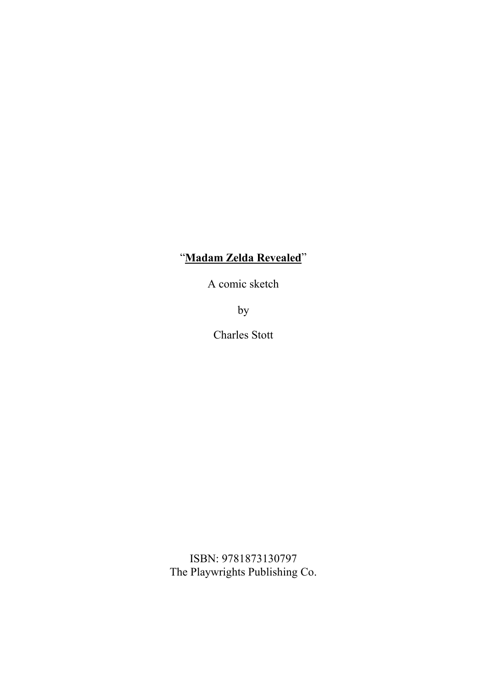## "**Madam Zelda Revealed**"

A comic sketch

by

Charles Stott

ISBN: 9781873130797 The Playwrights Publishing Co.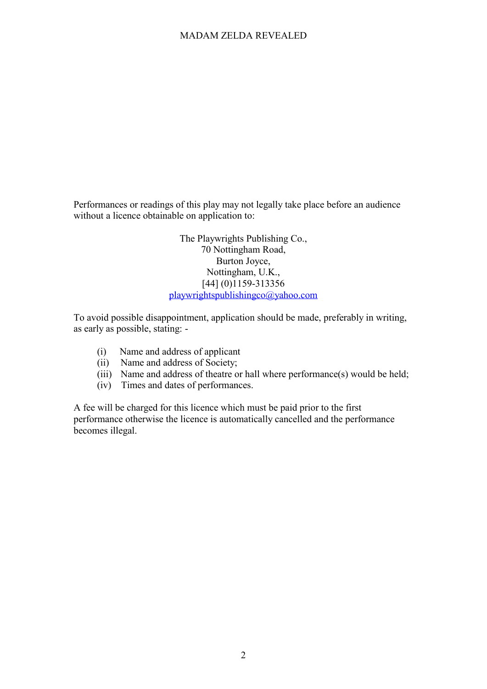## MADAM ZELDA REVEALED

Performances or readings of this play may not legally take place before an audience without a licence obtainable on application to:

> The Playwrights Publishing Co., 70 Nottingham Road, Burton Joyce, Nottingham, U.K., [44] (0)1159-313356 playwrightspublishingco@yahoo.com

To avoid possible disappointment, application should be made, preferably in writing, as early as possible, stating: -

- (i) Name and address of applicant
- (ii) Name and address of Society;
- (iii) Name and address of theatre or hall where performance(s) would be held;
- (iv) Times and dates of performances.

A fee will be charged for this licence which must be paid prior to the first performance otherwise the licence is automatically cancelled and the performance becomes illegal.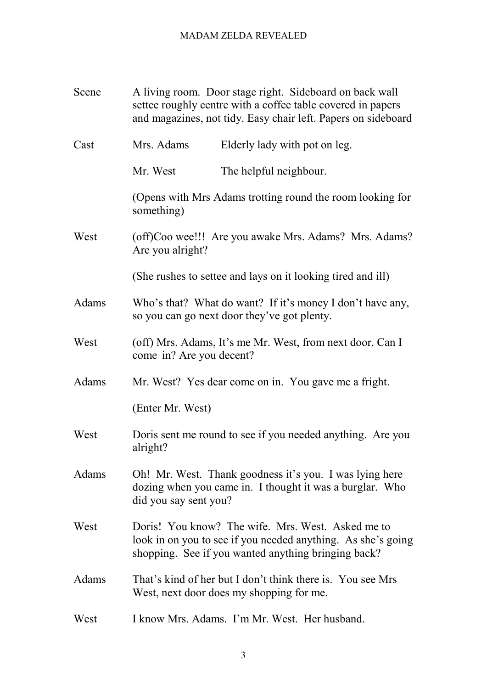## MADAM ZELDA REVEALED

| Scene | A living room. Door stage right. Sideboard on back wall<br>settee roughly centre with a coffee table covered in papers<br>and magazines, not tidy. Easy chair left. Papers on sideboard |  |
|-------|-----------------------------------------------------------------------------------------------------------------------------------------------------------------------------------------|--|
| Cast  | Mrs. Adams<br>Elderly lady with pot on leg.                                                                                                                                             |  |
|       | The helpful neighbour.<br>Mr. West                                                                                                                                                      |  |
|       | (Opens with Mrs Adams trotting round the room looking for<br>something)                                                                                                                 |  |
| West  | (off)Coo wee!!! Are you awake Mrs. Adams? Mrs. Adams?<br>Are you alright?                                                                                                               |  |
|       | (She rushes to settee and lays on it looking tired and ill)                                                                                                                             |  |
| Adams | Who's that? What do want? If it's money I don't have any,<br>so you can go next door they've got plenty.                                                                                |  |
| West  | (off) Mrs. Adams, It's me Mr. West, from next door. Can I<br>come in? Are you decent?                                                                                                   |  |
| Adams | Mr. West? Yes dear come on in. You gave me a fright.<br>(Enter Mr. West)                                                                                                                |  |
|       |                                                                                                                                                                                         |  |
| West  | Doris sent me round to see if you needed anything. Are you<br>alright?                                                                                                                  |  |
| Adams | Oh! Mr. West. Thank goodness it's you. I was lying here<br>dozing when you came in. I thought it was a burglar. Who<br>did you say sent you?                                            |  |
| West  | Doris! You know? The wife. Mrs. West. Asked me to<br>look in on you to see if you needed anything. As she's going<br>shopping. See if you wanted anything bringing back?                |  |
| Adams | That's kind of her but I don't think there is. You see Mrs<br>West, next door does my shopping for me.                                                                                  |  |
| West  | I know Mrs. Adams. I'm Mr. West. Her husband.                                                                                                                                           |  |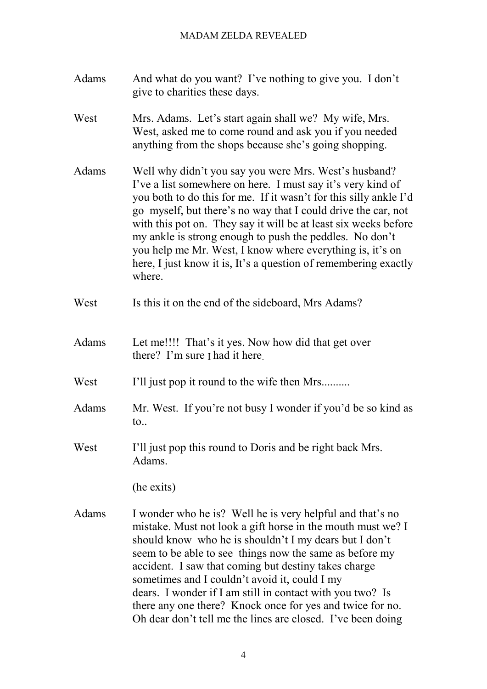- Adams And what do you want? I've nothing to give you. I don't give to charities these days.
- West Mrs. Adams. Let's start again shall we? My wife, Mrs. West, asked me to come round and ask you if you needed anything from the shops because she's going shopping.
- Adams Well why didn't you say you were Mrs. West's husband? I've a list somewhere on here. I must say it's very kind of you both to do this for me. If it wasn't for this silly ankle I'd go myself, but there's no way that I could drive the car, not with this pot on. They say it will be at least six weeks before my ankle is strong enough to push the peddles. No don't you help me Mr. West, I know where everything is, it's on here, I just know it is, It's a question of remembering exactly where.
- West Is this it on the end of the sideboard, Mrs Adams?
- Adams Let me!!!! That's it yes. Now how did that get over there? I'm sure I had it here.
- West I'll just pop it round to the wife then Mrs.........
- Adams Mr. West. If you're not busy I wonder if you'd be so kind as to..
- West I'll just pop this round to Doris and be right back Mrs. Adams.

(he exits)

Adams I wonder who he is? Well he is very helpful and that's no mistake. Must not look a gift horse in the mouth must we? I should know who he is shouldn't I my dears but I don't seem to be able to see things now the same as before my accident. I saw that coming but destiny takes charge sometimes and I couldn't avoid it, could I my dears. I wonder if I am still in contact with you two? Is there any one there? Knock once for yes and twice for no. Oh dear don't tell me the lines are closed. I've been doing